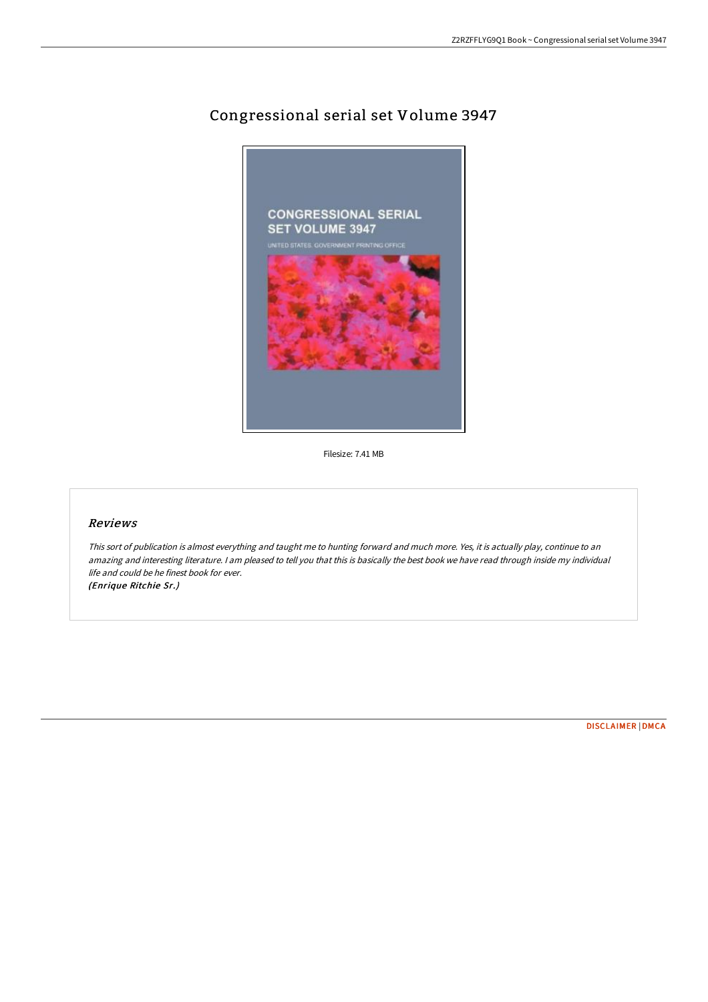# Congressional serial set Volume 3947



Filesize: 7.41 MB

## Reviews

This sort of publication is almost everything and taught me to hunting forward and much more. Yes, it is actually play, continue to an amazing and interesting literature. I am pleased to tell you that this is basically the best book we have read through inside my individual life and could be he finest book for ever. (Enrique Ritchie Sr.)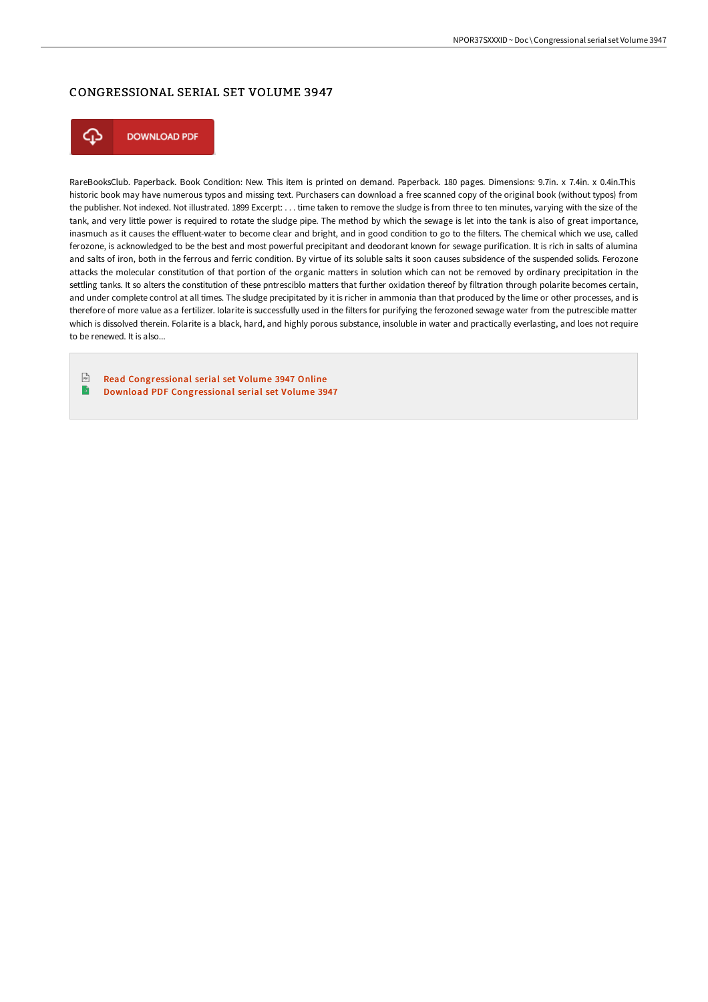## CONGRESSIONAL SERIAL SET VOLUME 3947



**DOWNLOAD PDF** 

RareBooksClub. Paperback. Book Condition: New. This item is printed on demand. Paperback. 180 pages. Dimensions: 9.7in. x 7.4in. x 0.4in.This historic book may have numerous typos and missing text. Purchasers can download a free scanned copy of the original book (without typos) from the publisher. Not indexed. Not illustrated. 1899 Excerpt: . . . time taken to remove the sludge is from three to ten minutes, varying with the size of the tank, and very little power is required to rotate the sludge pipe. The method by which the sewage is let into the tank is also of great importance, inasmuch as it causes the effluent-water to become clear and bright, and in good condition to go to the filters. The chemical which we use, called ferozone, is acknowledged to be the best and most powerful precipitant and deodorant known for sewage purification. It is rich in salts of alumina and salts of iron, both in the ferrous and ferric condition. By virtue of its soluble salts it soon causes subsidence of the suspended solids. Ferozone attacks the molecular constitution of that portion of the organic matters in solution which can not be removed by ordinary precipitation in the settling tanks. It so alters the constitution of these pntresciblo matters that further oxidation thereof by filtration through polarite becomes certain, and under complete control at all times. The sludge precipitated by it is richer in ammonia than that produced by the lime or other processes, and is therefore of more value as a fertilizer. Iolarite is successfully used in the filters for purifying the ferozoned sewage water from the putrescible matter which is dissolved therein. Folarite is a black, hard, and highly porous substance, insoluble in water and practically everlasting, and loes not require to be renewed. It is also...

 $\sqrt{m}$ Read [Congressional](http://techno-pub.tech/congressional-serial-set-volume-3947.html) serial set Volume 3947 Online B Download PDF [Congressional](http://techno-pub.tech/congressional-serial-set-volume-3947.html) serial set Volume 3947